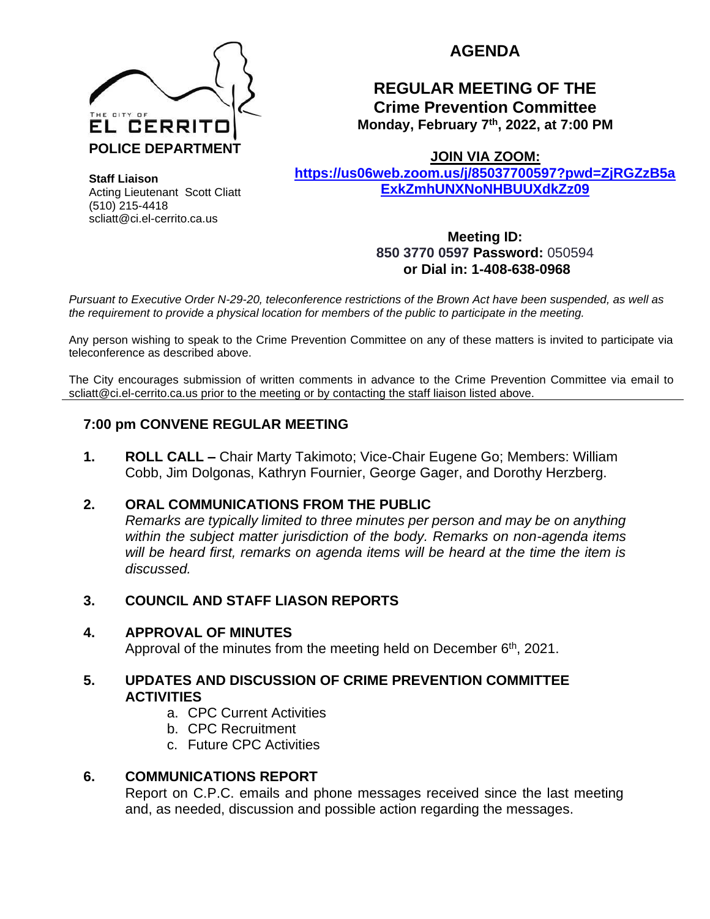

**AGENDA** 

# **REGULAR MEETING OF THE Crime Prevention Committee Monday, February 7th, 2022, at 7:00 PM**

**JOIN VIA ZOOM:** 

**[https://us06web.zoom.us/j/85037700597?pwd=ZjRGZzB5a](https://us06web.zoom.us/j/85037700597?pwd=ZjRGZzB5aExkZmhUNXNoNHBUUXdkZz09) [ExkZmhUNXNoNHBUUXdkZz09](https://us06web.zoom.us/j/85037700597?pwd=ZjRGZzB5aExkZmhUNXNoNHBUUXdkZz09)**

**Staff Liaison** Acting Lieutenant Scott Cliatt (510) 215-4418 scliatt@ci.el-cerrito.ca.us

> **Meeting ID: 850 3770 0597 Password:** 050594 **or Dial in: 1-408-638-0968**

*Pursuant to Executive Order N-29-20, teleconference restrictions of the Brown Act have been suspended, as well as the requirement to provide a physical location for members of the public to participate in the meeting.*

Any person wishing to speak to the Crime Prevention Committee on any of these matters is invited to participate via teleconference as described above.

The City encourages submission of written comments in advance to the Crime Prevention Committee via email to scliatt@ci.el-cerrito.ca.us prior to the meeting or by contacting the staff liaison listed above.

# **7:00 pm CONVENE REGULAR MEETING**

**1. ROLL CALL –** Chair Marty Takimoto; Vice-Chair Eugene Go; Members: William Cobb, Jim Dolgonas, Kathryn Fournier, George Gager, and Dorothy Herzberg.

## **2. ORAL COMMUNICATIONS FROM THE PUBLIC**

*Remarks are typically limited to three minutes per person and may be on anything within the subject matter jurisdiction of the body. Remarks on non-agenda items will be heard first, remarks on agenda items will be heard at the time the item is discussed.* 

## **3. COUNCIL AND STAFF LIASON REPORTS**

## **4. APPROVAL OF MINUTES**

Approval of the minutes from the meeting held on December  $6<sup>th</sup>$ , 2021.

#### **5. UPDATES AND DISCUSSION OF CRIME PREVENTION COMMITTEE ACTIVITIES**

- a. CPC Current Activities
- b. CPC Recruitment
- c. Future CPC Activities

## **6. COMMUNICATIONS REPORT**

Report on C.P.C. emails and phone messages received since the last meeting and, as needed, discussion and possible action regarding the messages.